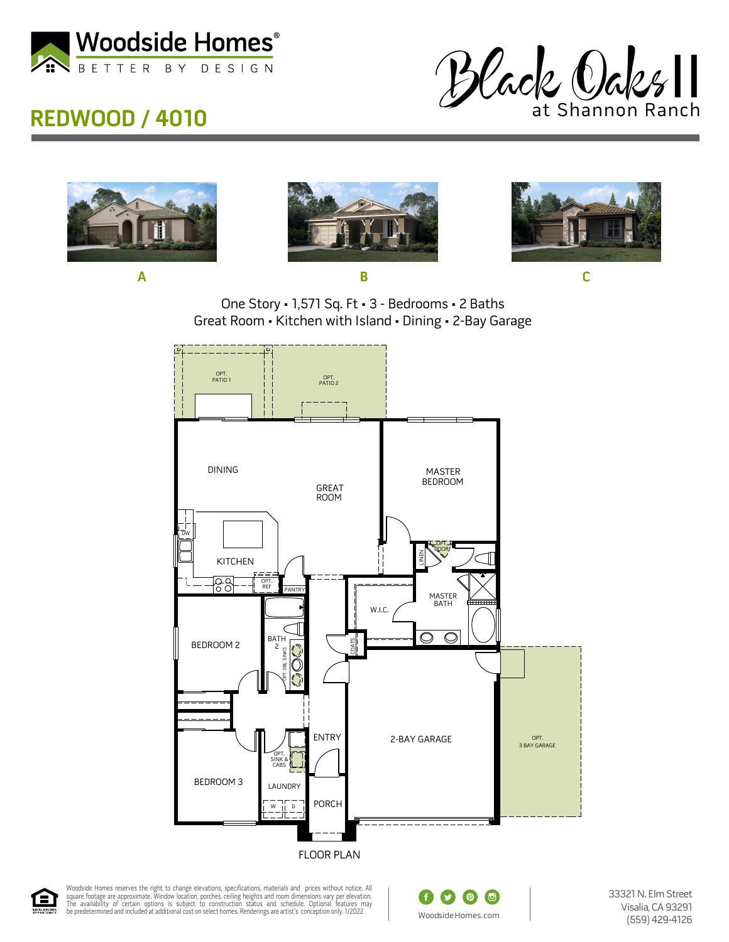

## **REDWOOD / 4010**









**A B C**





Woodside Homes reserves the right to change elevations, specifications, materials and prices without notice. All<br>square footage are approximate. Window location, porches, ceiling heights and room dimensions vary per elevat



33321 N. Elm Street Visalia, CA 93291 (559) 429-4126